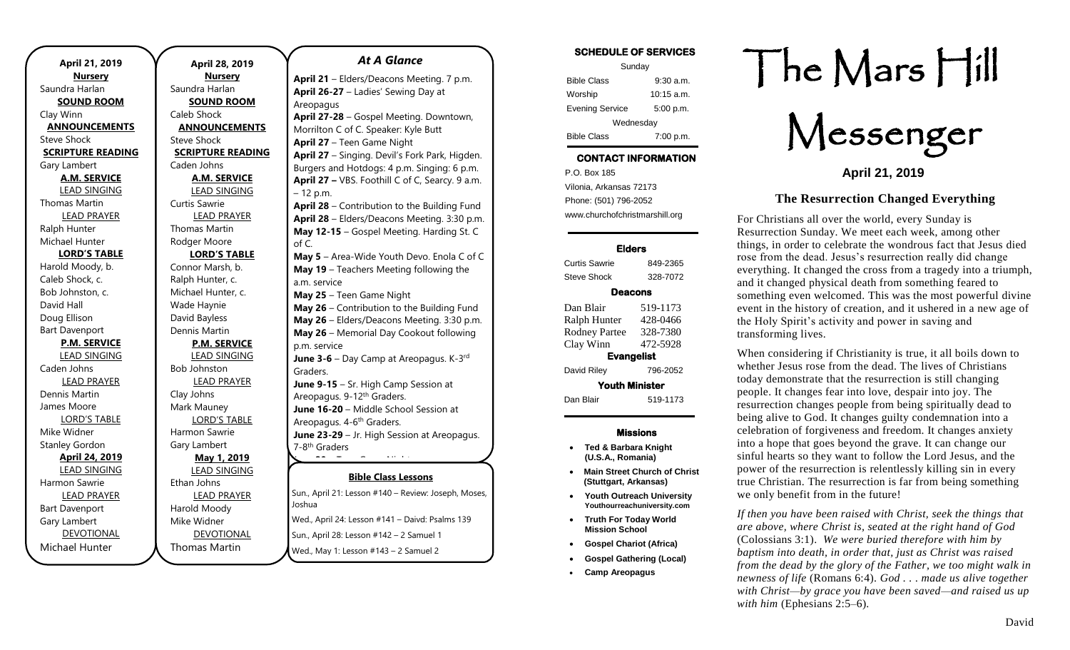| April 21, 2019<br><b>Nursery</b> |  |  |
|----------------------------------|--|--|
| Saundra Harlan                   |  |  |
| <b>SOUND ROOM</b>                |  |  |
| Clay Winn                        |  |  |
| <b>ANNOUNCEMENTS</b>             |  |  |
| Steve Shock                      |  |  |
| <b>SCRIPTURE READING</b>         |  |  |
| Gary Lambert                     |  |  |
| <b>A.M. SERVICE</b>              |  |  |
| <b>LEAD SINGING</b>              |  |  |
| <b>Thomas Martin</b>             |  |  |
| <b>LEAD PRAYER</b>               |  |  |
| Ralph Hunter                     |  |  |
| Michael Hunter                   |  |  |
| <b>LORD'S TABLE</b>              |  |  |
| Harold Moody, b.                 |  |  |
| Caleb Shock, c.                  |  |  |
| Bob Johnston, c.                 |  |  |
| David Hall                       |  |  |
| Doug Ellison                     |  |  |
| <b>Bart Davenport</b>            |  |  |
| <b>P.M. SERVICE</b>              |  |  |
| <b>LEAD SINGING</b>              |  |  |
| Caden Johns                      |  |  |
| <b>LEAD PRAYER</b>               |  |  |
| Dennis Martin                    |  |  |
| James Moore                      |  |  |
| <b>LORD'S TABLE</b>              |  |  |
| Mike Widner                      |  |  |
| <b>Stanley Gordon</b>            |  |  |
| April 24, 2019                   |  |  |
| <b>LEAD SINGING</b>              |  |  |
| Harmon Sawrie                    |  |  |
| <b>LEAD PRAYER</b>               |  |  |
| <b>Bart Davenport</b>            |  |  |
| Gary Lambert                     |  |  |
| <b>DEVOTIONAL</b>                |  |  |
| Michael Hunter                   |  |  |

**April 28, 2019 Nursery** Saundra Harlan **SOUND ROOM** Caleb Shock **ANNOUNCEMENTS** Steve Shock **SCRIPTURE READING** Caden Johns **A.M. SERVICE** LEAD SINGING Curtis Sawrie LEAD PRAYER Thomas Martin Rodger Moore **LORD'S TABLE** Connor Marsh, b. Ralph Hunter, c. Michael Hunter, c. Wade Haynie David Bayless Dennis Martin **P.M. SERVICE** LEAD SINGING Bob Johnston LEAD PRAYER Clay Johns Mark Mauney LORD'S TABLE Harmon Sawrie Gary Lambert **May 1, 2019** LEAD SINGING Ethan Johns LEAD PRAYER Harold Moody Mike Widner DEVOTIONAL

Thomas Martin

*At A Glance*  **April 21** – Elders/Deacons Meeting. 7 p.m. **April 26-27** – Ladies' Sewing Day at Areopagus **April 27-28** – Gospel Meeting. Downtown, Morrilton C of C. Speaker: Kyle Butt **April 27** – Teen Game Night **April 27** – Singing. Devil's Fork Park, Higden. Burgers and Hotdogs: 4 p.m. Singing: 6 p.m. **April 27 –** VBS. Foothill C of C, Searcy. 9 a.m. – 12 p.m. **April 28** – Contribution to the Building Fund **April 28** – Elders/Deacons Meeting. 3:30 p.m. **May 12-15** – Gospel Meeting. Harding St. C of C. **May 5** – Area-Wide Youth Devo. Enola C of C **May 19** – Teachers Meeting following the a.m. service **May 25** – Teen Game Night **May 26** – Contribution to the Building Fund **May 26** – Elders/Deacons Meeting. 3:30 p.m. **May 26** – Memorial Day Cookout following

p.m. service **June 3-6** – Day Camp at Areopagus. K-3<sup>rd</sup> Graders. **June 9-15** – Sr. High Camp Session at

Areopagus. 9-12<sup>th</sup> Graders. **June 16-20** – Middle School Session at Areopagus. 4-6<sup>th</sup> Graders. **June 23-29** – Jr. High Session at Areopagus. 7-8<sup>th</sup> Graders

June **29** – Teen Game Night

#### **Bible Class Lessons**

Sun., April 21: Lesson #140 – Review: Joseph, Moses, **June 30 –** Contribution to the Building Fund Joshua Wed., April 24: Lesson #141 – Daivd: Psalms 139 Sun., April 28: Lesson #142 - 2 Samuel 1 Wed., May 1: Lesson #143 – 2 Samuel 2 Jun., Aphi 21. Lesson <del>#140 – Review. Joseph, Mos</del><br>Lechue **June 30** – Elders/Deacons Meeting 3:30 p.m. **September 29-October 2** – Harding

### **SCHEDULE OF SERVICES**

| Sunday                 |              |  |
|------------------------|--------------|--|
| <b>Bible Class</b>     | $9:30$ a.m.  |  |
| Worship                | $10:15$ a.m. |  |
| <b>Evening Service</b> | 5:00 p.m.    |  |
| Wednesday              |              |  |
| <b>Bible Class</b>     | 7:00 p.m.    |  |

# **CONTACT INFORMATION**

. .o. Box 166<br>Vilonia, Arkansas 72173 P.O. Box 185 Phone: (501) 796-2052 www.churchofchristmarshill.org

### **Elders**

Curtis Sawrie 849-2365 Steve Shock 328-7072 **Deacons** 

| Dan Blair             | 519-1173 |  |
|-----------------------|----------|--|
| Ralph Hunter          | 428-0466 |  |
| <b>Rodney Partee</b>  | 328-7380 |  |
| Clay Winn             | 472-5928 |  |
| <b>Evangelist</b>     |          |  |
| David Riley           | 796-2052 |  |
| <b>Youth Minister</b> |          |  |
| Dan Blair             | 519-1173 |  |
|                       |          |  |

## **Missions**

- **Ted & Barbara Knight (U.S.A., Romania)**
- **Main Street Church of Christ (Stuttgart, Arkansas)**
- **Youth Outreach University Youthourreachuniversity.com**
- **Truth For Today World Mission School**
- **Gospel Chariot (Africa)**
- **Gospel Gathering (Local)**
- **Camp Areopagus**

# The Mars Hill

Messenger

**April 21, 2019**

## **The Resurrection Changed Everything**

For Christians all over the world, every Sunday is Resurrection Sunday. We meet each week, among other things, in order to celebrate the wondrous fact that Jesus died rose from the dead. Jesus's resurrection really did change everything. It changed the cross from a tragedy into a triumph, and it changed physical death from something feared to something even welcomed. This was the most powerful divine event in the history of creation, and it ushered in a new age of the Holy Spirit's activity and power in saving and transforming lives.

When considering if Christianity is true, it all boils down to whether Jesus rose from the dead. The lives of Christians today demonstrate that the resurrection is still changing people. It changes fear into love, despair into joy. The resurrection changes people from being spiritually dead to being alive to God. It changes guilty condemnation into a celebration of forgiveness and freedom. It changes anxiety into a hope that goes beyond the grave. It can change our sinful hearts so they want to follow the Lord Jesus, and the power of the resurrection is relentlessly killing sin in every true Christian. The resurrection is far from being something we only benefit from in the future!

*If then you have been raised with Christ, seek the things that are above, where Christ is, seated at the right hand of God* [\(Colossians 3:1\)](https://www.esv.org/Colossians%203%3A1/). *We were buried therefore with him by baptism into death, in order that, just as Christ was raised from the dead by the glory of the Father, we too might walk in newness of life* [\(Romans 6:4\)](https://www.esv.org/Romans%206%3A4/). *God . . . made us alive together with Christ—by grace you have been saved—and raised us up with him* [\(Ephesians 2:5–6\)](https://www.esv.org/Ephesians%202%3A5%E2%80%936/).